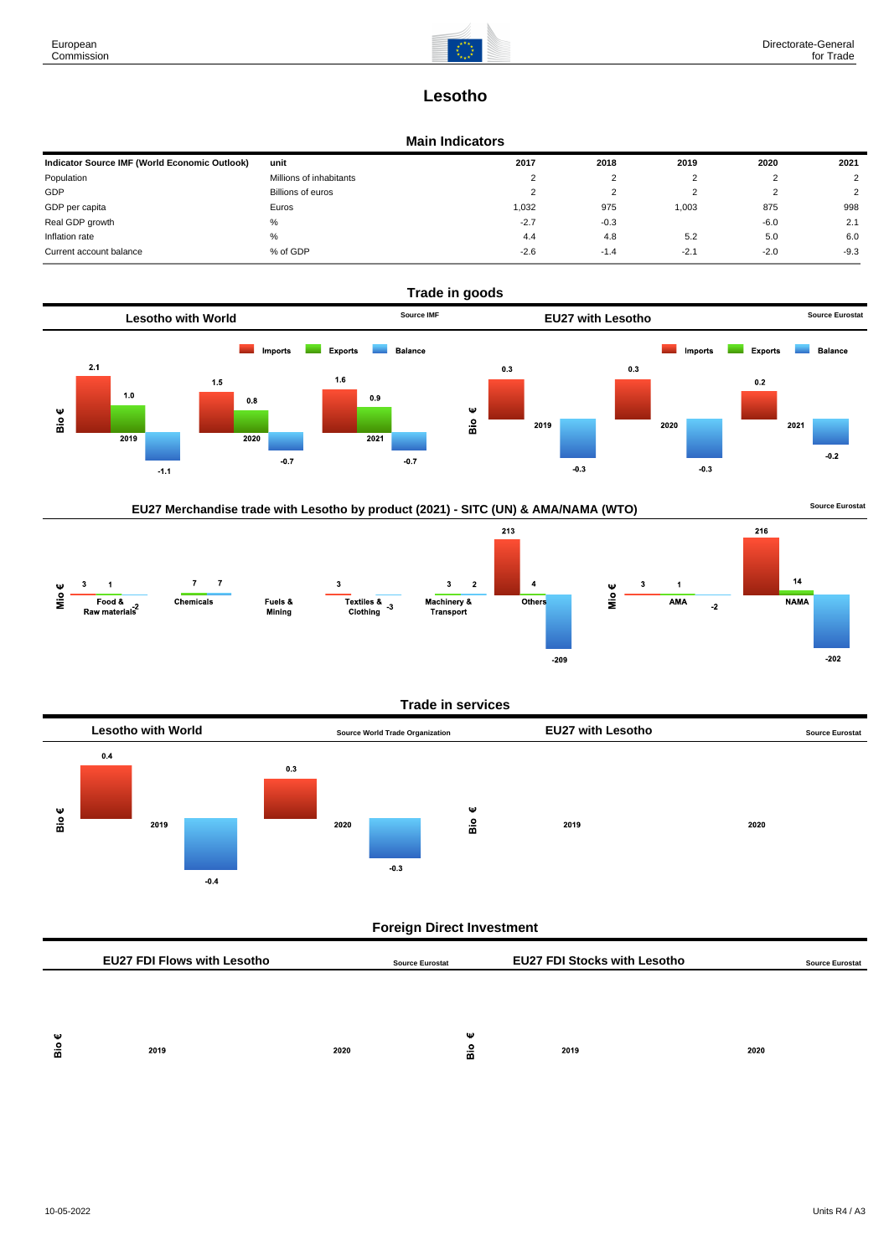

# **Lesotho**

## **Main Indicators**

| Indicator Source IMF (World Economic Outlook) | unit                    | 2017     | 2018   | 2019   | 2020   | 2021          |
|-----------------------------------------------|-------------------------|----------|--------|--------|--------|---------------|
| Population                                    | Millions of inhabitants | <u>_</u> |        |        | ے      |               |
| GDP                                           | Billions of euros       | ∼        |        |        | ∼      | $\mathcal{L}$ |
| GDP per capita                                | Euros                   | 1,032    | 975    | 1,003  | 875    | 998           |
| Real GDP growth                               | %                       | $-2.7$   | $-0.3$ |        | $-6.0$ | 2.1           |
| Inflation rate                                | %                       | 4.4      | 4.8    | 5.2    | 5.0    | 6.0           |
| Current account balance                       | % of GDP                | $-2.6$   | $-1.4$ | $-2.1$ | $-2.0$ | $-9.3$        |





#### **Trade in services**



# **Foreign Direct Investment**

|        | <b>EU27 FDI Flows with Lesotho</b> |      | <b>Source Eurostat</b> | <b>EU27 FDI Stocks with Lesotho</b> |      | <b>Source Eurostat</b> |
|--------|------------------------------------|------|------------------------|-------------------------------------|------|------------------------|
|        |                                    |      |                        |                                     |      |                        |
|        |                                    |      |                        |                                     |      |                        |
| ѡ<br>å | 2019                               | 2020 | Ψ<br>åе                | 2019                                | 2020 |                        |